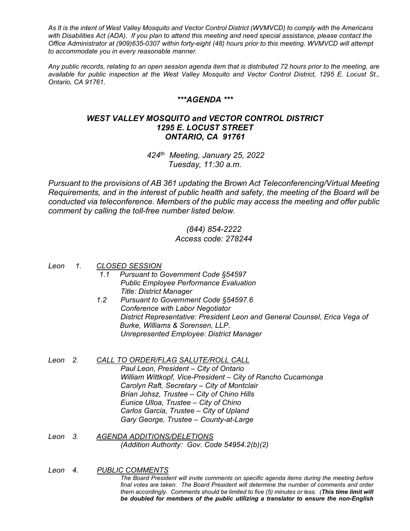*As It is the intent of West Valley Mosquito and Vector Control District (WVMVCD) to comply with the Americans with Disabilities Act (ADA). If you plan to attend this meeting and need special assistance, please contact the Office Administrator at (909)635-0307 within forty-eight (48) hours prior to this meeting. WVMVCD will attempt to accommodate you in every reasonable manner.*

*Any public records, relating to an open session agenda item that is distributed 72 hours prior to the meeting, are available for public inspection at the West Valley Mosquito and Vector Control District, 1295 E. Locust St., Ontario, CA 91761.*

## *\*\*\*AGENDA \*\*\**

# *WEST VALLEY MOSQUITO and VECTOR CONTROL DISTRICT 1295 E. LOCUST STREET ONTARIO, CA 91761*

*424th Meeting, January 25, 2022 Tuesday, 11:30 a.m.*

*Pursuant to the provisions of AB 361 updating the Brown Act Teleconferencing/Virtual Meeting Requirements, and in the interest of public health and safety, the meeting of the Board will be conducted via teleconference. Members of the public may access the meeting and offer public comment by calling the toll-free number listed below.*

### *(844) 854-2222 Access code: 278244*

*Leon 1. CLOSED SESSION*

- *Pursuant to Government Code §54597 Public Employee Performance Evaluation Title: District Manager*
- *1.2 Pursuant to Government Code §54597.6 Conference with Labor Negotiator District Representative: President Leon and General Counsel, Erica Vega of Burke, Williams & Sorensen, LLP. Unrepresented Employee: District Manager*
- *Leon 2. CALL TO ORDER/FLAG SALUTE/ROLL CALL Paul Leon, President – City of Ontario William Wittkopf, Vice-President – City of Rancho Cucamonga Carolyn Raft, Secretary – City of Montclair Brian Johsz, Trustee – City of Chino Hills Eunice Ulloa, Trustee – City of Chino Carlos Garcia, Trustee – City of Upland Gary George, Trustee – County-at-Large*
- *Leon 3. AGENDA ADDITIONS/DELETIONS (Addition Authority: Gov. Code 54954.2(b)(2)*

#### *Leon 4. PUBLIC COMMENTS*

*The Board President will invite comments on specific agenda items during the meeting before final votes are taken. The Board President will determine the number of comments and order them accordingly. Comments should be limited to five (5) minutes or less. (This time limit will be doubled for members of the public utilizing a translator to ensure the non-English*